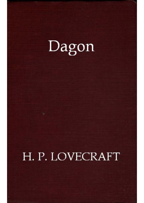## Dagon

## H. P. LOVECRAFT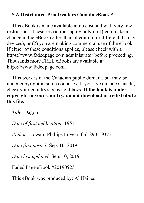## **\* A Distributed Proofreaders Canada eBook \***

This eBook is made available at no cost and with very few restrictions. These restrictions apply only if (1) you make a change in the eBook (other than alteration for different display devices), or (2) you are making commercial use of the eBook. If either of these conditions applies, please check with a https://www.fadedpage.com administrator before proceeding. Thousands more FREE eBooks are available at https://www.fadedpage.com.

This work is in the Canadian public domain, but may be under copyright in some countries. If you live outside Canada, check your country's copyright laws. **If the book is under copyright in your country, do not download or redistribute this file.**

*Title:* Dagon

*Date of first publication:* 1951

*Author:* Howard Phillips Lovecraft (1890-1937)

*Date first posted:* Sep. 10, 2019

*Date last updated:* Sep. 10, 2019

Faded Page eBook #20190925

This eBook was produced by: Al Haines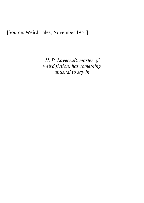[Source: Weird Tales, November 1951]

*H. P. Lovecraft, master of weird fiction, has something unusual to say in*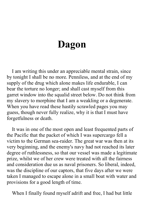## **Dagon**

I am writing this under an appreciable mental strain, since by tonight I shall be no more. Penniless, and at the end of my supply of the drug which alone makes life endurable, I can bear the torture no longer; and shall cast myself from this garret window into the squalid street below. Do not think from my slavery to morphine that I am a weakling or a degenerate. When you have read these hastily scrawled pages you may guess, though never fully realize, why it is that I must have forgetfulness or death.

It was in one of the most open and least frequented parts of the Pacific that the packet of which I was supercargo fell a victim to the German sea-raider. The great war was then at its very beginning, and the enemy's navy had not reached its later degree of ruthlessness, so that our vessel was made a legitimate prize, whilst we of her crew were treated with all the fairness and consideration due us as naval prisoners. So liberal, indeed, was the discipline of our captors, that five days after we were taken I managed to escape alone in a small boat with water and provisions for a good length of time.

When I finally found myself adrift and free, I had but little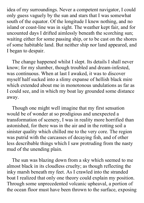idea of my surroundings. Never a competent navigator, I could only guess vaguely by the sun and stars that I was somewhat south of the equator. Of the longitude I knew nothing, and no island or coast-line was in sight. The weather kept fair, and for uncounted days I drifted aimlessly beneath the scorching sun; waiting either for some passing ship, or to be cast on the shores of some habitable land. But neither ship nor land appeared, and I began to despair.

The change happened whilst I slept. Its details I shall never know; for my slumber, though troubled and dream-infested, was continuous. When at last I awaked, it was to discover myself half sucked into a slimy expanse of hellish black mire which extended about me in monotonous undulations as far as I could see, and in which my boat lay grounded some distance away.

Though one might well imagine that my first sensation would be of wonder at so prodigious and unexpected a transformation of scenery, I was in reality more horrified than astonished, for there was in the air and in the rotting soil a sinister quality which chilled me to the very core. The region was putrid with the carcasses of decaying fish, and of other less describable things which I saw protruding from the nasty mud of the unending plain.

The sun was blazing down from a sky which seemed to me almost black in its cloudless cruelty; as though reflecting the inky marsh beneath my feet. As I crawled into the stranded boat I realized that only one theory could explain my position. Through some unprecedented volcanic upheaval, a portion of the ocean floor must have been thrown to the surface, exposing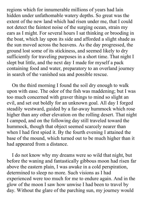regions which for innumerable millions of years had lain hidden under unfathomable watery depths. So great was the extent of the new land which had risen under me, that I could not detect the faintest noise of the surging ocean, strain my ears as I might. For several hours I sat thinking or brooding in the boat, which lay upon its side and afforded a slight shade as the sun moved across the heavens. As the day progressed, the ground lost some of its stickiness, and seemed likely to dry sufficiently for traveling purposes in a short time. That night I slept but little, and the next day I made for myself a pack containing food and water, preparatory to an overland journey in search of the vanished sea and possible rescue.

On the third morning I found the soil dry enough to walk upon with ease. The odor of the fish was maddening; but I was too much concerned with graver things to mind so slight an evil, and set out boldly for an unknown goal. All day I forged steadily westward, guided by a far-away hummock which rose higher than any other elevation on the rolling desert. That night I camped, and on the following day still traveled toward the hummock, though that object seemed scarcely nearer than when I had first spied it. By the fourth evening I attained the base of the mound, which turned out to be much higher than it had appeared from a distance.

I do not know why my dreams were so wild that night, but before the waning and fantastically gibbous moon had risen far above the eastern plain, I was awake in a cold perspiration, determined to sleep no more. Such visions as I had experienced were too much for me to endure again. And in the glow of the moon I saw how unwise I had been to travel by day. Without the glare of the parching sun, my journey would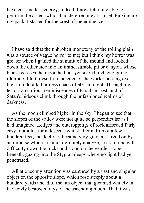have cost me less energy; indeed, I now felt quite able to perform the ascent which had deterred me at sunset. Picking up my pack, I started for the crest of the eminence.

I have said that the unbroken monotony of the rolling plain was a source of vague horror to me; but I think my horror was greater when I gained the summit of the mound and looked down the other side into an immeasurable pit or canyon, whose black recesses the moon had not yet soared high enough to illumine. I felt myself on the edge of the world; peering over the rim into a fathomless chaos of eternal night. Through my terror ran curious reminiscences of Paradise Lost, and of Satan's hideous climb through the unfashioned realms of darkness.

As the moon climbed higher in the sky, I began to see that the slopes of the valley were not quite so perpendicular as I had imagined. Ledges and outcroppings of rock afforded fairly easy footholds for a descent, whilst after a drop of a few hundred feet, the declivity became very gradual. Urged on by an impulse which I cannot definitely analyze, I scrambled with difficulty down the rocks and stood on the gentler slope beneath, gazing into the Stygian deeps where no light had yet penetrated.

All at once my attention was captured by a vast and singular object on the opposite slope, which rose steeply about a hundred yards ahead of me; an object that gleamed whitely in the newly bestowed rays of the ascending moon. That it was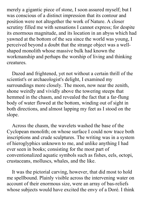merely a gigantic piece of stone, I soon assured myself; but I was conscious of a distinct impression that its contour and position were not altogether the work of Nature. A closer scrutiny filled me with sensations I cannot express; for despite its enormous magnitude, and its location in an abyss which had yawned at the bottom of the sea since the world was young, I perceived beyond a doubt that the strange object was a wellshaped monolith whose massive bulk had known the workmanship and perhaps the worship of living and thinking creatures.

Dazed and frightened, yet not without a certain thrill of the scientist's or archaeologist's delight, I examined my surroundings more closely. The moon, now near the zenith, shone weirdly and vividly above the towering steeps that hemmed in the chasm, and revealed the fact that a far-flung body of water flowed at the bottom, winding out of sight in both directions, and almost lapping my feet as I stood on the slope.

Across the chasm, the wavelets washed the base of the Cyclopean monolith; on whose surface I could now trace both inscriptions and crude sculptures. The writing was in a system of hieroglyphics unknown to me, and unlike anything I had ever seen in books; consisting for the most part of conventionalized aquatic symbols such as fishes, eels, octopi, crustaceans, molluscs, whales, and the like.

It was the pictorial carving, however, that did most to hold me spellbound. Plainly visible across the intervening water on account of their enormous size, were an array of bas-reliefs whose subjects would have excited the envy of a Doré. I think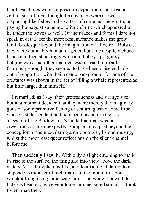that these things were supposed to depict men—at least, a certain sort of men; though the creatures were shown disporting like fishes in the waters of some marine grotto, or paying homage at some monolithic shrine which appeared to be under the waves as well. Of their faces and forms I dare not speak in detail; for the mere remembrance makes me grow faint. Grotesque beyond the imagination of a Poe or a Bulwer, they were damnably human in general outline despite webbed hands and feet, shockingly wide and flabby lips, glassy, bulging eyes, and other features less pleasant to recall. Curiously enough, they seemed to have been chiseled badly out of proportion with their scenic background; for one of the creatures was shown in the act of killing a whale represented as but little larger than himself.

I remarked, as I say, their grotesqueness and strange size; but in a moment decided that they were merely the imaginary gods of some primitive fishing or seafaring tribe; some tribe whose last descendant had perished eras before the first ancestor of the Piltdown or Neanderthal man was born. Awestruck at this unexpected glimpse into a past beyond the conception of the most daring anthropologist, I stood musing, whilst the moon cast queer reflections on the silent channel before me.

Then suddenly I saw it. With only a slight churning to mark its rise to the surface, the thing slid into view above the dark waters. Vast, Polyphemus-like, and loathsome, it darted like a stupendous monster of nightmares to the monolith, about which it flung its gigantic scaly arms, the while it bowed its hideous head and gave vent to certain measured sounds. I think I went mad then.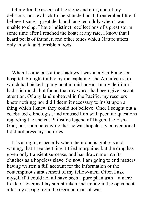Of my frantic ascent of the slope and cliff, and of my delirious journey back to the stranded boat, I remember little. I believe I sang a great deal, and laughed oddly when I was unable to sing. I have indistinct recollections of a great storm some time after I reached the boat; at any rate, I know that I heard peals of thunder, and other tones which Nature utters only in wild and terrible moods.

When I came out of the shadows I was in a San Francisco hospital; brought thither by the captain of the American ship which had picked up my boat in mid-ocean. In my delirium I had said much, but found that my words had been given scant attention. Of any land upheaval in the Pacific, my rescuers knew nothing; nor did I deem it necessary to insist upon a thing which I knew they could not believe. Once I sought out a celebrated ethnologist, and amused him with peculiar questions regarding the ancient Philistine legend of Dagon, the Fish-God; but, soon perceiving that he was hopelessly conventional, I did not press my inquiries.

It is at night, especially when the moon is gibbous and waning, that I see the thing. I tried morphine, but the drug has given only transient surcease, and has drawn me into its clutches as a hopeless slave. So now I am going to end matters, having written a full account for the information or the contemptuous amusement of my fellow-men. Often I ask myself if it could not all have been a pure phantasm—a mere freak of fever as I lay sun-stricken and raving in the open boat after my escape from the German man-of-war.